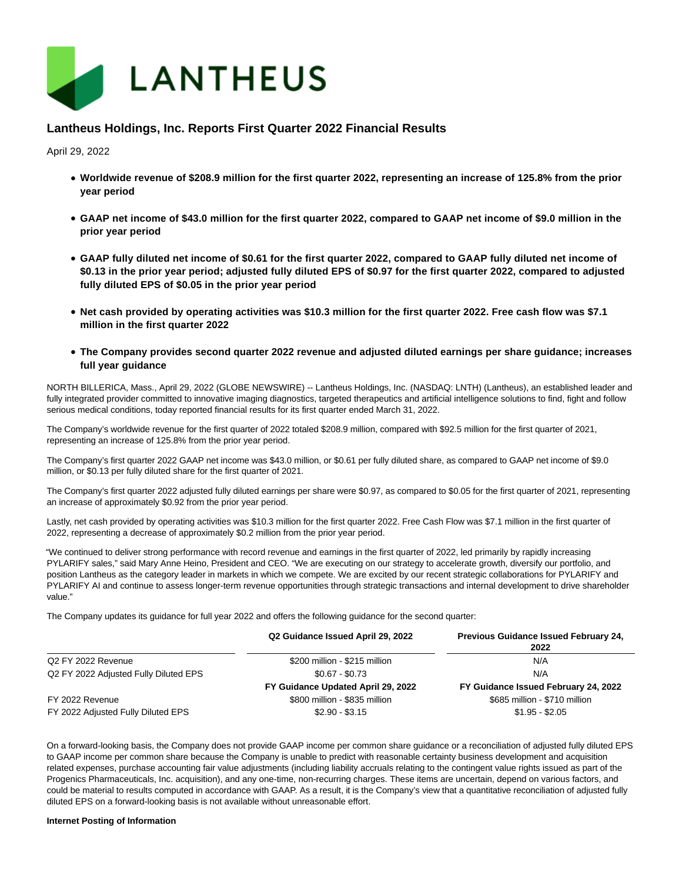

# **Lantheus Holdings, Inc. Reports First Quarter 2022 Financial Results**

April 29, 2022

- **Worldwide revenue of \$208.9 million for the first quarter 2022, representing an increase of 125.8% from the prior year period**
- **GAAP net income of \$43.0 million for the first quarter 2022, compared to GAAP net income of \$9.0 million in the prior year period**
- **GAAP fully diluted net income of \$0.61 for the first quarter 2022, compared to GAAP fully diluted net income of \$0.13 in the prior year period; adjusted fully diluted EPS of \$0.97 for the first quarter 2022, compared to adjusted fully diluted EPS of \$0.05 in the prior year period**
- **Net cash provided by operating activities was \$10.3 million for the first quarter 2022. Free cash flow was \$7.1 million in the first quarter 2022**
- **The Company provides second quarter 2022 revenue and adjusted diluted earnings per share guidance; increases full year guidance**

NORTH BILLERICA, Mass., April 29, 2022 (GLOBE NEWSWIRE) -- Lantheus Holdings, Inc. (NASDAQ: LNTH) (Lantheus), an established leader and fully integrated provider committed to innovative imaging diagnostics, targeted therapeutics and artificial intelligence solutions to find, fight and follow serious medical conditions, today reported financial results for its first quarter ended March 31, 2022.

The Company's worldwide revenue for the first quarter of 2022 totaled \$208.9 million, compared with \$92.5 million for the first quarter of 2021, representing an increase of 125.8% from the prior year period.

The Company's first quarter 2022 GAAP net income was \$43.0 million, or \$0.61 per fully diluted share, as compared to GAAP net income of \$9.0 million, or \$0.13 per fully diluted share for the first quarter of 2021.

The Company's first quarter 2022 adjusted fully diluted earnings per share were \$0.97, as compared to \$0.05 for the first quarter of 2021, representing an increase of approximately \$0.92 from the prior year period.

Lastly, net cash provided by operating activities was \$10.3 million for the first quarter 2022. Free Cash Flow was \$7.1 million in the first quarter of 2022, representing a decrease of approximately \$0.2 million from the prior year period.

"We continued to deliver strong performance with record revenue and earnings in the first quarter of 2022, led primarily by rapidly increasing PYLARIFY sales," said Mary Anne Heino, President and CEO. "We are executing on our strategy to accelerate growth, diversify our portfolio, and position Lantheus as the category leader in markets in which we compete. We are excited by our recent strategic collaborations for PYLARIFY and PYLARIFY AI and continue to assess longer-term revenue opportunities through strategic transactions and internal development to drive shareholder value."

The Company updates its guidance for full year 2022 and offers the following guidance for the second quarter:

|                                       | Q2 Guidance Issued April 29, 2022  | <b>Previous Guidance Issued February 24,</b><br>2022 |
|---------------------------------------|------------------------------------|------------------------------------------------------|
| Q2 FY 2022 Revenue                    | \$200 million - \$215 million      | N/A                                                  |
| Q2 FY 2022 Adjusted Fully Diluted EPS | $$0.67 - $0.73$                    | N/A                                                  |
|                                       | FY Guidance Updated April 29, 2022 | FY Guidance Issued February 24, 2022                 |
| FY 2022 Revenue                       | \$800 million - \$835 million      | \$685 million - \$710 million                        |
| FY 2022 Adjusted Fully Diluted EPS    | $$2.90 - $3.15$                    | $$1.95 - $2.05$                                      |

On a forward-looking basis, the Company does not provide GAAP income per common share guidance or a reconciliation of adjusted fully diluted EPS to GAAP income per common share because the Company is unable to predict with reasonable certainty business development and acquisition related expenses, purchase accounting fair value adjustments (including liability accruals relating to the contingent value rights issued as part of the Progenics Pharmaceuticals, Inc. acquisition), and any one-time, non-recurring charges. These items are uncertain, depend on various factors, and could be material to results computed in accordance with GAAP. As a result, it is the Company's view that a quantitative reconciliation of adjusted fully diluted EPS on a forward-looking basis is not available without unreasonable effort.

#### **Internet Posting of Information**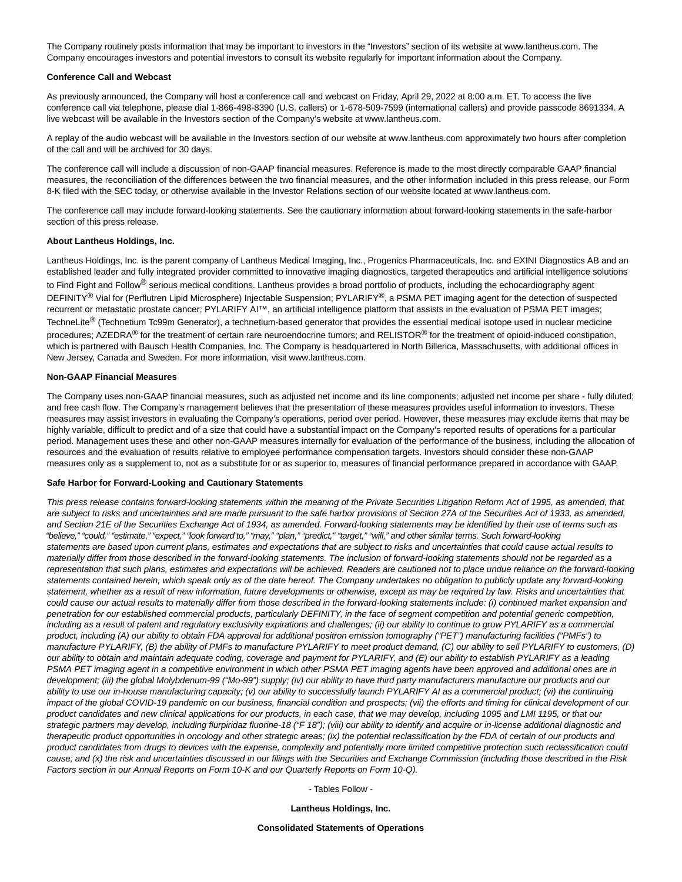The Company routinely posts information that may be important to investors in the "Investors" section of its website at www.lantheus.com. The Company encourages investors and potential investors to consult its website regularly for important information about the Company.

#### **Conference Call and Webcast**

As previously announced, the Company will host a conference call and webcast on Friday, April 29, 2022 at 8:00 a.m. ET. To access the live conference call via telephone, please dial 1-866-498-8390 (U.S. callers) or 1-678-509-7599 (international callers) and provide passcode 8691334. A live webcast will be available in the Investors section of the Company's website at www.lantheus.com.

A replay of the audio webcast will be available in the Investors section of our website at www.lantheus.com approximately two hours after completion of the call and will be archived for 30 days.

The conference call will include a discussion of non-GAAP financial measures. Reference is made to the most directly comparable GAAP financial measures, the reconciliation of the differences between the two financial measures, and the other information included in this press release, our Form 8-K filed with the SEC today, or otherwise available in the Investor Relations section of our website located at www.lantheus.com.

The conference call may include forward-looking statements. See the cautionary information about forward-looking statements in the safe-harbor section of this press release.

### **About Lantheus Holdings, Inc.**

Lantheus Holdings, Inc. is the parent company of Lantheus Medical Imaging, Inc., Progenics Pharmaceuticals, Inc. and EXINI Diagnostics AB and an established leader and fully integrated provider committed to innovative imaging diagnostics, targeted therapeutics and artificial intelligence solutions to Find Fight and Follow<sup>®</sup> serious medical conditions. Lantheus provides a broad portfolio of products, including the echocardiography agent DEFINITY<sup>®</sup> Vial for (Perflutren Lipid Microsphere) Injectable Suspension; PYLARIFY<sup>®</sup>, a PSMA PET imaging agent for the detection of suspected recurrent or metastatic prostate cancer; PYLARIFY AI™, an artificial intelligence platform that assists in the evaluation of PSMA PET images; TechneLite® (Technetium Tc99m Generator), a technetium-based generator that provides the essential medical isotope used in nuclear medicine procedures; AZEDRA<sup>®</sup> for the treatment of certain rare neuroendocrine tumors; and RELISTOR<sup>®</sup> for the treatment of opioid-induced constipation, which is partnered with Bausch Health Companies, Inc. The Company is headquartered in North Billerica, Massachusetts, with additional offices in New Jersey, Canada and Sweden. For more information, visit www.lantheus.com.

### **Non-GAAP Financial Measures**

The Company uses non-GAAP financial measures, such as adjusted net income and its line components; adjusted net income per share - fully diluted; and free cash flow. The Company's management believes that the presentation of these measures provides useful information to investors. These measures may assist investors in evaluating the Company's operations, period over period. However, these measures may exclude items that may be highly variable, difficult to predict and of a size that could have a substantial impact on the Company's reported results of operations for a particular period. Management uses these and other non-GAAP measures internally for evaluation of the performance of the business, including the allocation of resources and the evaluation of results relative to employee performance compensation targets. Investors should consider these non-GAAP measures only as a supplement to, not as a substitute for or as superior to, measures of financial performance prepared in accordance with GAAP.

### **Safe Harbor for Forward-Looking and Cautionary Statements**

This press release contains forward-looking statements within the meaning of the Private Securities Litigation Reform Act of 1995, as amended, that are subject to risks and uncertainties and are made pursuant to the safe harbor provisions of Section 27A of the Securities Act of 1933, as amended, and Section 21E of the Securities Exchange Act of 1934, as amended. Forward-looking statements may be identified by their use of terms such as "believe," "could," "estimate," "expect," "look forward to," "may," "plan," "predict," "target," "will," and other similar terms. Such forward-looking statements are based upon current plans, estimates and expectations that are subject to risks and uncertainties that could cause actual results to materially differ from those described in the forward-looking statements. The inclusion of forward-looking statements should not be regarded as a representation that such plans, estimates and expectations will be achieved. Readers are cautioned not to place undue reliance on the forward-looking statements contained herein, which speak only as of the date hereof. The Company undertakes no obligation to publicly update any forward-looking statement, whether as a result of new information, future developments or otherwise, except as may be required by law. Risks and uncertainties that could cause our actual results to materially differ from those described in the forward-looking statements include: (i) continued market expansion and penetration for our established commercial products, particularly DEFINITY, in the face of segment competition and potential generic competition, including as a result of patent and regulatory exclusivity expirations and challenges; (ii) our ability to continue to grow PYLARIFY as a commercial product, including (A) our ability to obtain FDA approval for additional positron emission tomography ("PET") manufacturing facilities ("PMFs") to manufacture PYLARIFY, (B) the ability of PMFs to manufacture PYLARIFY to meet product demand, (C) our ability to sell PYLARIFY to customers, (D) our ability to obtain and maintain adequate coding, coverage and payment for PYLARIFY, and (E) our ability to establish PYLARIFY as a leading PSMA PET imaging agent in a competitive environment in which other PSMA PET imaging agents have been approved and additional ones are in development; (iii) the global Molybdenum-99 ("Mo-99") supply; (iv) our ability to have third party manufacturers manufacture our products and our ability to use our in-house manufacturing capacity; (v) our ability to successfully launch PYLARIFY AI as a commercial product; (vi) the continuing impact of the global COVID-19 pandemic on our business, financial condition and prospects; (vii) the efforts and timing for clinical development of our product candidates and new clinical applications for our products, in each case, that we may develop, including 1095 and LMI 1195, or that our strategic partners may develop, including flurpiridaz fluorine-18 ("F 18"); (viii) our ability to identify and acquire or in-license additional diagnostic and therapeutic product opportunities in oncology and other strategic areas; (ix) the potential reclassification by the FDA of certain of our products and product candidates from drugs to devices with the expense, complexity and potentially more limited competitive protection such reclassification could cause; and (x) the risk and uncertainties discussed in our filings with the Securities and Exchange Commission (including those described in the Risk Factors section in our Annual Reports on Form 10-K and our Quarterly Reports on Form 10-Q).

- Tables Follow -

**Lantheus Holdings, Inc.**

### **Consolidated Statements of Operations**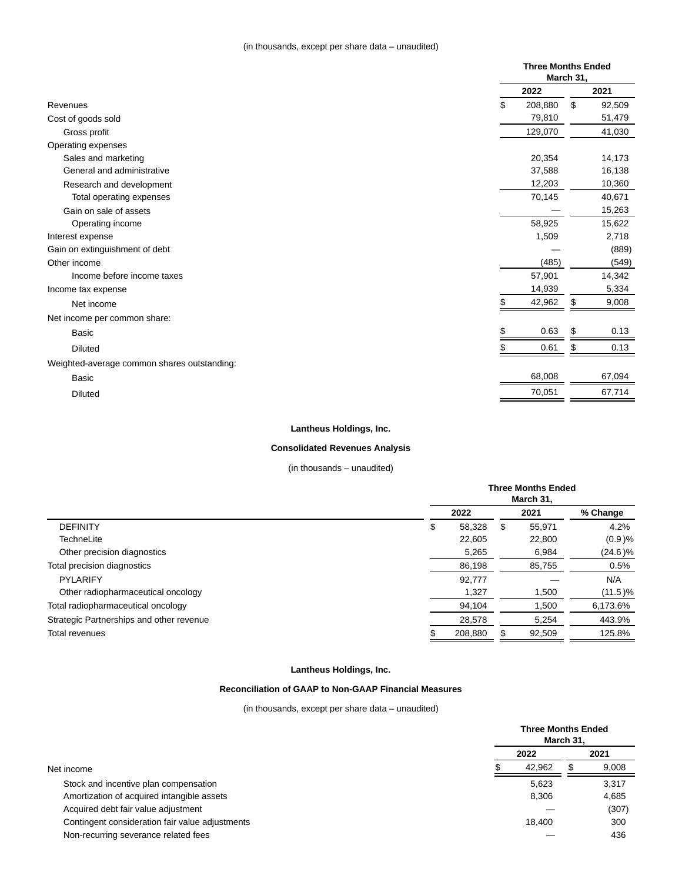# (in thousands, except per share data – unaudited)

|                                             | <b>Three Months Ended</b><br>March 31, |    |        |
|---------------------------------------------|----------------------------------------|----|--------|
|                                             | 2022                                   |    | 2021   |
| Revenues                                    | \$<br>208,880                          | \$ | 92,509 |
| Cost of goods sold                          | 79,810                                 |    | 51,479 |
| Gross profit                                | 129,070                                |    | 41,030 |
| Operating expenses                          |                                        |    |        |
| Sales and marketing                         | 20,354                                 |    | 14,173 |
| General and administrative                  | 37,588                                 |    | 16,138 |
| Research and development                    | 12,203                                 |    | 10,360 |
| Total operating expenses                    | 70,145                                 |    | 40,671 |
| Gain on sale of assets                      |                                        |    | 15,263 |
| Operating income                            | 58,925                                 |    | 15,622 |
| Interest expense                            | 1,509                                  |    | 2,718  |
| Gain on extinguishment of debt              |                                        |    | (889)  |
| Other income                                | (485)                                  |    | (549)  |
| Income before income taxes                  | 57,901                                 |    | 14,342 |
| Income tax expense                          | 14,939                                 |    | 5,334  |
| Net income                                  | \$<br>42,962                           | \$ | 9,008  |
| Net income per common share:                |                                        |    |        |
| Basic                                       | \$<br>0.63                             | \$ | 0.13   |
| <b>Diluted</b>                              | \$<br>0.61                             | \$ | 0.13   |
| Weighted-average common shares outstanding: |                                        |    |        |
| Basic                                       | 68,008                                 |    | 67,094 |
| <b>Diluted</b>                              | 70,051                                 |    | 67,714 |
|                                             |                                        |    |        |

# **Lantheus Holdings, Inc.**

# **Consolidated Revenues Analysis**

# (in thousands – unaudited)

|                                          | <b>Three Months Ended</b><br>March 31. |              |            |  |
|------------------------------------------|----------------------------------------|--------------|------------|--|
|                                          | 2022                                   | 2021         | % Change   |  |
| <b>DEFINITY</b>                          | 58,328<br>\$                           | 55,971<br>\$ | 4.2%       |  |
| TechneLite                               | 22,605                                 | 22,800       | (0.9)%     |  |
| Other precision diagnostics              | 5,265                                  | 6,984        | $(24.6)\%$ |  |
| Total precision diagnostics              | 86,198                                 | 85,755       | 0.5%       |  |
| <b>PYLARIFY</b>                          | 92,777                                 |              | N/A        |  |
| Other radiopharmaceutical oncology       | 1,327                                  | 1,500        | $(11.5)\%$ |  |
| Total radiopharmaceutical oncology       | 94,104                                 | 1,500        | 6,173.6%   |  |
| Strategic Partnerships and other revenue | 28,578                                 | 5,254        | 443.9%     |  |
| <b>Total revenues</b>                    | 208.880                                | 92.509       | 125.8%     |  |

# **Lantheus Holdings, Inc.**

# **Reconciliation of GAAP to Non-GAAP Financial Measures**

(in thousands, except per share data – unaudited)

|                                                 | <b>Three Months Ended</b><br>March 31, |  |       |
|-------------------------------------------------|----------------------------------------|--|-------|
|                                                 | 2022                                   |  | 2021  |
| Net income                                      | 42,962                                 |  | 9,008 |
| Stock and incentive plan compensation           | 5.623                                  |  | 3,317 |
| Amortization of acquired intangible assets      | 8,306                                  |  | 4,685 |
| Acquired debt fair value adjustment             |                                        |  | (307) |
| Contingent consideration fair value adjustments | 18.400                                 |  | 300   |
| Non-recurring severance related fees            |                                        |  | 436   |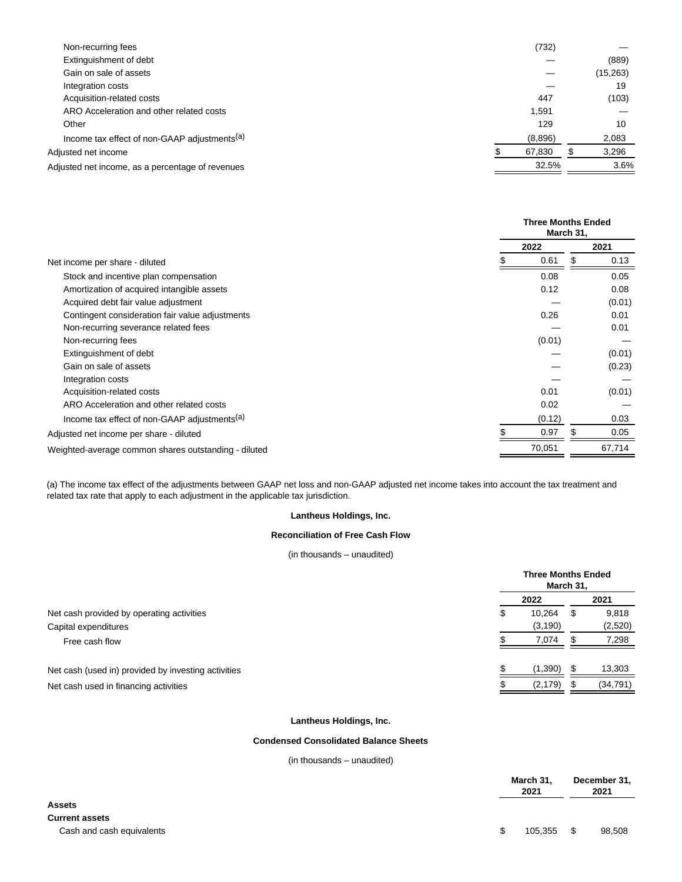| Non-recurring fees                                       | (732)   |          |
|----------------------------------------------------------|---------|----------|
| Extinguishment of debt                                   |         | (889)    |
| Gain on sale of assets                                   |         | (15,263) |
| Integration costs                                        |         | 19       |
| Acquisition-related costs                                | 447     | (103)    |
| ARO Acceleration and other related costs                 | 1,591   |          |
| Other                                                    | 129     | 10       |
| Income tax effect of non-GAAP adjustments <sup>(a)</sup> | (8,896) | 2,083    |
| Adjusted net income                                      | 67,830  | 3,296    |
| Adjusted net income, as a percentage of revenues         | 32.5%   | 3.6%     |
|                                                          |         |          |

|                                                          | <b>Three Months Ended</b><br>March 31, |        |   |        |
|----------------------------------------------------------|----------------------------------------|--------|---|--------|
|                                                          |                                        | 2022   |   | 2021   |
| Net income per share - diluted                           |                                        | 0.61   |   | 0.13   |
| Stock and incentive plan compensation                    |                                        | 0.08   |   | 0.05   |
| Amortization of acquired intangible assets               |                                        | 0.12   |   | 0.08   |
| Acquired debt fair value adjustment                      |                                        |        |   | (0.01) |
| Contingent consideration fair value adjustments          |                                        | 0.26   |   | 0.01   |
| Non-recurring severance related fees                     |                                        |        |   | 0.01   |
| Non-recurring fees                                       |                                        | (0.01) |   |        |
| Extinguishment of debt                                   |                                        |        |   | (0.01) |
| Gain on sale of assets                                   |                                        |        |   | (0.23) |
| Integration costs                                        |                                        |        |   |        |
| Acquisition-related costs                                |                                        | 0.01   |   | (0.01) |
| ARO Acceleration and other related costs                 |                                        | 0.02   |   |        |
| Income tax effect of non-GAAP adjustments <sup>(a)</sup> |                                        | (0.12) |   | 0.03   |
| Adjusted net income per share - diluted                  |                                        | 0.97   | S | 0.05   |
| Weighted-average common shares outstanding - diluted     |                                        | 70,051 |   | 67,714 |

(a) The income tax effect of the adjustments between GAAP net loss and non-GAAP adjusted net income takes into account the tax treatment and related tax rate that apply to each adjustment in the applicable tax jurisdiction.

# **Lantheus Holdings, Inc.**

# **Reconciliation of Free Cash Flow**

### (in thousands – unaudited)

|                                                     | <b>Three Months Ended</b><br>March 31, |          |   |           |
|-----------------------------------------------------|----------------------------------------|----------|---|-----------|
|                                                     |                                        | 2022     |   | 2021      |
| Net cash provided by operating activities           | \$                                     | 10.264   | S | 9,818     |
| Capital expenditures                                |                                        | (3, 190) |   | (2,520)   |
| Free cash flow                                      |                                        | 7.074    |   | 7,298     |
|                                                     |                                        |          |   |           |
| Net cash (used in) provided by investing activities |                                        | (1,390)  |   | 13,303    |
| Net cash used in financing activities               |                                        | (2, 179) |   | (34, 791) |

# **Lantheus Holdings, Inc.**

# **Condensed Consolidated Balance Sheets**

(in thousands – unaudited)

|                           | March 31,<br>2021 |         |      | December 31,<br>2021 |  |
|---------------------------|-------------------|---------|------|----------------------|--|
| <b>Assets</b>             |                   |         |      |                      |  |
| <b>Current assets</b>     |                   |         |      |                      |  |
| Cash and cash equivalents | \$                | 105.355 | - \$ | 98,508               |  |